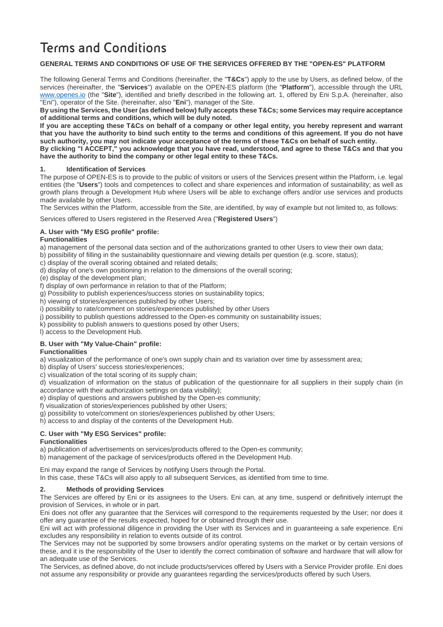# **Terms and Conditions**

## **GENERAL TERMS AND CONDITIONS OF USE OF THE SERVICES OFFERED BY THE "OPEN-ES" PLATFORM**

The following General Terms and Conditions (hereinafter, the "**T&Cs**") apply to the use by Users, as defined below, of the services (hereinafter, the "**Services**") available on the OPEN-ES platform (the "**Platform**"), accessible through the URL [www.openes.io](http://www.openes.io/) (the "**Site**"), identified and briefly described in the following art. 1, offered by Eni S.p.A. (hereinafter, also "Eni"), operator of the Site. (hereinafter, also "**Eni**"), manager of the Site.

**By using the Services, the User (as defined below) fully accepts these T&Cs; some Services may require acceptance of additional terms and conditions, which will be duly noted.** 

**If you are accepting these T&Cs on behalf of a company or other legal entity, you hereby represent and warrant that you have the authority to bind such entity to the terms and conditions of this agreement. If you do not have such authority, you may not indicate your acceptance of the terms of these T&Cs on behalf of such entity.**

**By clicking "I ACCEPT," you acknowledge that you have read, understood, and agree to these T&Cs and that you have the authority to bind the company or other legal entity to these T&Cs.**

#### **1. Identification of Services**

The purpose of OPEN-ES is to provide to the public of visitors or users of the Services present within the Platform, i.e. legal entities (the "**Users**") tools and competences to collect and share experiences and information of sustainability; as well as growth plans through a Development Hub where Users will be able to exchange offers and/or use services and products made available by other Users.

The Services within the Platform, accessible from the Site, are identified, by way of example but not limited to, as follows:

Services offered to Users registered in the Reserved Area ("**Registered Users**")

#### **A. User with "My ESG profile" profile:**

#### **Functionalities**

a) management of the personal data section and of the authorizations granted to other Users to view their own data;

b) possibility of filling in the sustainability questionnaire and viewing details per question (e.g. score, status);

- c) display of the overall scoring obtained and related details;
- d) display of one's own positioning in relation to the dimensions of the overall scoring;
- (e) display of the development plan;
- f) display of own performance in relation to that of the Platform;
- g) Possibility to publish experiences/success stories on sustainability topics;
- h) viewing of stories/experiences published by other Users;
- i) possibility to rate/comment on stories/experiences published by other Users
- j) possibility to publish questions addressed to the Open-es community on sustainability issues;

k) possibility to publish answers to questions posed by other Users;

l) access to the Development Hub.

## **B. User with "My Value-Chain" profile:**

#### **Functionalities**

a) visualization of the performance of one's own supply chain and its variation over time by assessment area;

b) display of Users' success stories/experiences;

c) visualization of the total scoring of its supply chain;

d) visualization of information on the status of publication of the questionnaire for all suppliers in their supply chain (in accordance with their authorization settings on data visibility);

e) display of questions and answers published by the Open-es community;

- f) visualization of stories/experiences published by other Users;
- g) possibility to vote/comment on stories/experiences published by other Users;
- h) access to and display of the contents of the Development Hub.

## **C. User with "My ESG Services" profile:**

## **Functionalities**

a) publication of advertisements on services/products offered to the Open-es community;

b) management of the package of services/products offered in the Development Hub.

Eni may expand the range of Services by notifying Users through the Portal.

In this case, these T&Cs will also apply to all subsequent Services, as identified from time to time.

## **2. Methods of providing Services**

The Services are offered by Eni or its assignees to the Users. Eni can, at any time, suspend or definitively interrupt the provision of Services, in whole or in part.

Eni does not offer any guarantee that the Services will correspond to the requirements requested by the User; nor does it offer any guarantee of the results expected, hoped for or obtained through their use.

Eni will act with professional diligence in providing the User with its Services and in guaranteeing a safe experience. Eni excludes any responsibility in relation to events outside of its control.

The Services may not be supported by some browsers and/or operating systems on the market or by certain versions of these, and it is the responsibility of the User to identify the correct combination of software and hardware that will allow for an adequate use of the Services.

The Services, as defined above, do not include products/services offered by Users with a Service Provider profile. Eni does not assume any responsibility or provide any guarantees regarding the services/products offered by such Users.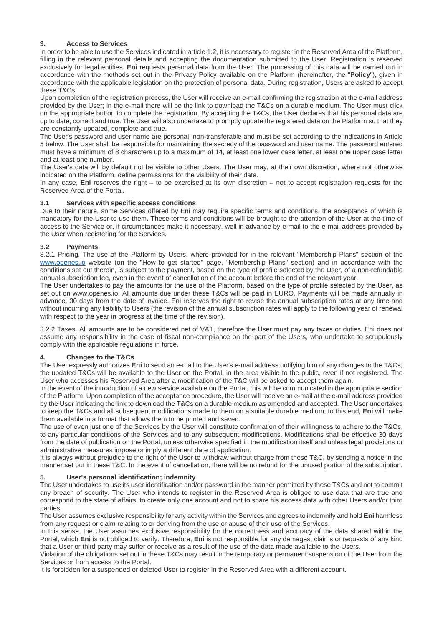## **3. Access to Services**

In order to be able to use the Services indicated in article 1.2, it is necessary to register in the Reserved Area of the Platform, filling in the relevant personal details and accepting the documentation submitted to the User. Registration is reserved exclusively for legal entities. **Eni** requests personal data from the User. The processing of this data will be carried out in accordance with the methods set out in the Privacy Policy available on the Platform (hereinafter, the "**Policy**"), given in accordance with the applicable legislation on the protection of personal data. During registration, Users are asked to accept these T&Cs.

Upon completion of the registration process, the User will receive an e-mail confirming the registration at the e-mail address provided by the User; in the e-mail there will be the link to download the T&Cs on a durable medium. The User must click on the appropriate button to complete the registration. By accepting the T&Cs, the User declares that his personal data are up to date, correct and true. The User will also undertake to promptly update the registered data on the Platform so that they are constantly updated, complete and true.

The User's password and user name are personal, non-transferable and must be set according to the indications in Article 5 below. The User shall be responsible for maintaining the secrecy of the password and user name. The password entered must have a minimum of 8 characters up to a maximum of 14, at least one lower case letter, at least one upper case letter and at least one number.

The User's data will by default not be visible to other Users. The User may, at their own discretion, where not otherwise indicated on the Platform, define permissions for the visibility of their data.

In any case, **Eni** reserves the right – to be exercised at its own discretion – not to accept registration requests for the Reserved Area of the Portal.

## **3.1 Services with specific access conditions**

Due to their nature, some Services offered by Eni may require specific terms and conditions, the acceptance of which is mandatory for the User to use them. These terms and conditions will be brought to the attention of the User at the time of access to the Service or, if circumstances make it necessary, well in advance by e-mail to the e-mail address provided by the User when registering for the Services.

#### **3.2 Payments**

3.2.1 Pricing. The use of the Platform by Users, where provided for in the relevant "Membership Plans" section of the [www.openes.io](http://www.openes.io/) website (on the "How to get started" page, "Membership Plans" section) and in accordance with the conditions set out therein, is subject to the payment, based on the type of profile selected by the User, of a non-refundable annual subscription fee, even in the event of cancellation of the account before the end of the relevant year.

The User undertakes to pay the amounts for the use of the Platform, based on the type of profile selected by the User, as set out on www.openes.io. All amounts due under these T&Cs will be paid in EURO. Payments will be made annually in advance, 30 days from the date of invoice. Eni reserves the right to revise the annual subscription rates at any time and without incurring any liability to Users (the revision of the annual subscription rates will apply to the following year of renewal with respect to the year in progress at the time of the revision).

3.2.2 Taxes. All amounts are to be considered net of VAT, therefore the User must pay any taxes or duties. Eni does not assume any responsibility in the case of fiscal non-compliance on the part of the Users, who undertake to scrupulously comply with the applicable regulations in force.

## **4. Changes to the T&Cs**

The User expressly authorizes **Eni** to send an e-mail to the User's e-mail address notifying him of any changes to the T&Cs; the updated T&Cs will be available to the User on the Portal, in the area visible to the public, even if not registered. The User who accesses his Reserved Area after a modification of the T&C will be asked to accept them again.

In the event of the introduction of a new service available on the Portal, this will be communicated in the appropriate section of the Platform. Upon completion of the acceptance procedure, the User will receive an e-mail at the e-mail address provided by the User indicating the link to download the T&Cs on a durable medium as amended and accepted. The User undertakes to keep the T&Cs and all subsequent modifications made to them on a suitable durable medium; to this end, **Eni** will make them available in a format that allows them to be printed and saved.

The use of even just one of the Services by the User will constitute confirmation of their willingness to adhere to the T&Cs, to any particular conditions of the Services and to any subsequent modifications. Modifications shall be effective 30 days from the date of publication on the Portal, unless otherwise specified in the modification itself and unless legal provisions or administrative measures impose or imply a different date of application.

It is always without prejudice to the right of the User to withdraw without charge from these T&C, by sending a notice in the manner set out in these T&C. In the event of cancellation, there will be no refund for the unused portion of the subscription.

#### **5. User's personal identification; indemnity**

The User undertakes to use its user identification and/or password in the manner permitted by these T&Cs and not to commit any breach of security. The User who intends to register in the Reserved Area is obliged to use data that are true and correspond to the state of affairs, to create only one account and not to share his access data with other Users and/or third parties.

The User assumes exclusive responsibility for any activity within the Services and agrees to indemnify and hold **Eni** harmless from any request or claim relating to or deriving from the use or abuse of their use of the Services.

In this sense, the User assumes exclusive responsibility for the correctness and accuracy of the data shared within the Portal, which **Eni** is not obliged to verify. Therefore, **Eni** is not responsible for any damages, claims or requests of any kind that a User or third party may suffer or receive as a result of the use of the data made available to the Users.

Violation of the obligations set out in these T&Cs may result in the temporary or permanent suspension of the User from the Services or from access to the Portal.

It is forbidden for a suspended or deleted User to register in the Reserved Area with a different account.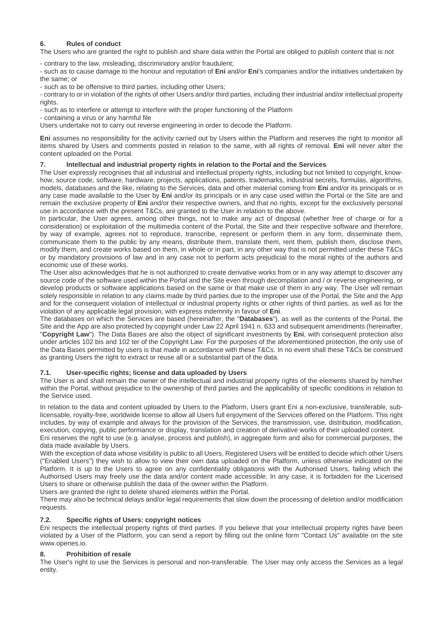# **6. Rules of conduct**

The Users who are granted the right to publish and share data within the Portal are obliged to publish content that is not

- contrary to the law, misleading, discriminatory and/or fraudulent;

- such as to cause damage to the honour and reputation of **Eni** and/or **Eni**'s companies and/or the initiatives undertaken by the same; or

- such as to be offensive to third parties, including other Users;

- contrary to or in violation of the rights of other Users and/or third parties, including their industrial and/or intellectual property rights.

- such as to interfere or attempt to interfere with the proper functioning of the Platform

- containing a virus or any harmful file

Users undertake not to carry out reverse engineering in order to decode the Platform.

**Eni** assumes no responsibility for the activity carried out by Users within the Platform and reserves the right to monitor all items shared by Users and comments posted in relation to the same, with all rights of removal. **Eni** will never alter the content uploaded on the Portal.

## **7. Intellectual and industrial property rights in relation to the Portal and the Services**

The User expressly recognises that all industrial and intellectual property rights, including but not limited to copyright, knowhow, source code, software, hardware, projects, applications, patents, trademarks, industrial secrets, formulas, algorithms, models, databases and the like, relating to the Services, data and other material coming from **Eni** and/or its principals or in any case made available to the User by **Eni** and/or its principals or in any case used within the Portal or the Site are and remain the exclusive property of **Eni** and/or their respective owners, and that no rights, except for the exclusively personal use in accordance with the present T&Cs, are granted to the User in relation to the above.

In particular, the User agrees, among other things, not to make any act of disposal (whether free of charge or for a consideration) or exploitation of the multimedia content of the Portal, the Site and their respective software and therefore, by way of example, agrees not to reproduce, transcribe, represent or perform them in any form, disseminate them, communicate them to the public by any means, distribute them, translate them, rent them, publish them, disclose them, modify them, and create works based on them, in whole or in part, in any other way that is not permitted under these T&Cs or by mandatory provisions of law and in any case not to perform acts prejudicial to the moral rights of the authors and economic use of these works.

The User also acknowledges that he is not authorized to create derivative works from or in any way attempt to discover any source code of the software used within the Portal and the Site even through decompilation and / or reverse engineering, or develop products or software applications based on the same or that make use of them in any way. The User will remain solely responsible in relation to any claims made by third parties due to the improper use of the Portal, the Site and the App and for the consequent violation of intellectual or industrial property rights or other rights of third parties, as well as for the violation of any applicable legal provision, with express indemnity in favour of **Eni**.

The databases on which the Services are based (hereinafter, the "**Databases**"), as well as the contents of the Portal, the Site and the App are also protected by copyright under Law 22 April 1941 n. 633 and subsequent amendments (hereinafter, "**Copyright Law**"). The Data Bases are also the object of significant investments by **Eni**, with consequent protection also under articles 102 bis and 102 ter of the Copyright Law. For the purposes of the aforementioned protection, the only use of the Data Bases permitted by users is that made in accordance with these T&Cs. In no event shall these T&Cs be construed as granting Users the right to extract or reuse all or a substantial part of the data.

## **7.1. User-specific rights; license and data uploaded by Users**

The User is and shall remain the owner of the intellectual and industrial property rights of the elements shared by him/her within the Portal, without prejudice to the ownership of third parties and the applicability of specific conditions in relation to the Service used.

In relation to the data and content uploaded by Users to the Platform, Users grant Eni a non-exclusive, transferable, sublicensable, royalty-free, worldwide license to allow all Users full enjoyment of the Services offered on the Platform. This right includes, by way of example and always for the provision of the Services, the transmission, use, distribution, modification, execution, copying, public performance or display, translation and creation of derivative works of their uploaded content.

Eni reserves the right to use (e.g. analyse, process and publish), in aggregate form and also for commercial purposes, the data made available by Users.

With the exception of data whose visibility is public to all Users, Registered Users will be entitled to decide which other Users ("Enabled Users") they wish to allow to view their own data uploaded on the Platform, unless otherwise indicated on the Platform. It is up to the Users to agree on any confidentiality obligations with the Authorised Users, failing which the Authorised Users may freely use the data and/or content made accessible. In any case, it is forbidden for the Licensed Users to share or otherwise publish the data of the owner within the Platform.

Users are granted the right to delete shared elements within the Portal.

There may also be technical delays and/or legal requirements that slow down the processing of deletion and/or modification requests.

## **7.2. Specific rights of Users: copyright notices**

Eni respects the intellectual property rights of third parties. If you believe that your intellectual property rights have been violated by a User of the Platform, you can send a report by filling out the online form "Contact Us" available on the site www.openes.io.

## **8. Prohibition of resale**

The User's right to use the Services is personal and non-transferable. The User may only access the Services as a legal entity.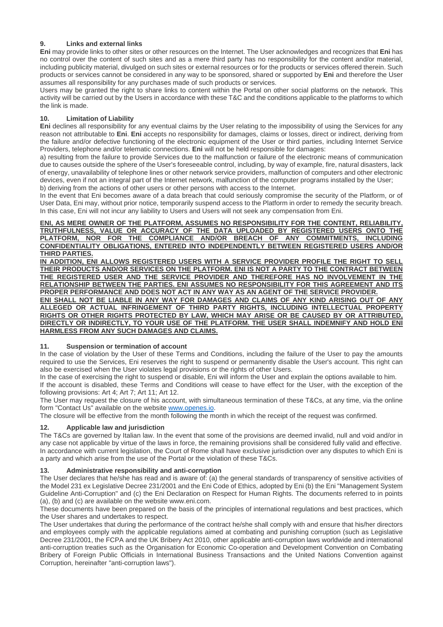## **9. Links and external links**

**Eni** may provide links to other sites or other resources on the Internet. The User acknowledges and recognizes that **Eni** has no control over the content of such sites and as a mere third party has no responsibility for the content and/or material, including publicity material, divulged on such sites or external resources or for the products or services offered therein. Such products or services cannot be considered in any way to be sponsored, shared or supported by **Eni** and therefore the User assumes all responsibility for any purchases made of such products or services.

Users may be granted the right to share links to content within the Portal on other social platforms on the network. This activity will be carried out by the Users in accordance with these T&C and the conditions applicable to the platforms to which the link is made.

## **10. Limitation of Liability**

**Eni** declines all responsibility for any eventual claims by the User relating to the impossibility of using the Services for any reason not attributable to **Eni**. **Eni** accepts no responsibility for damages, claims or losses, direct or indirect, deriving from the failure and/or defective functioning of the electronic equipment of the User or third parties, including Internet Service Providers, telephone and/or telematic connections. **Eni** will not be held responsible for damages:

a) resulting from the failure to provide Services due to the malfunction or failure of the electronic means of communication due to causes outside the sphere of the User's foreseeable control, including, by way of example, fire, natural disasters, lack of energy, unavailability of telephone lines or other network service providers, malfunction of computers and other electronic devices, even if not an integral part of the Internet network, malfunction of the computer programs installed by the User; b) deriving from the actions of other users or other persons with access to the Internet.

In the event that Eni becomes aware of a data breach that could seriously compromise the security of the Platform, or of User Data, Eni may, without prior notice, temporarily suspend access to the Platform in order to remedy the security breach. In this case, Eni will not incur any liability to Users and Users will not seek any compensation from Eni.

**ENI, AS MERE OWNER OF THE PLATFORM, ASSUMES NO RESPONSIBILITY FOR THE CONTENT, RELIABILITY, TRUTHFULNESS, VALUE OR ACCURACY OF THE DATA UPLOADED BY REGISTERED USERS ONTO THE PLATFORM, NOR FOR THE COMPLIANCE AND/OR BREACH OF ANY COMMITMENTS, INCLUDING CONFIDENTIALITY OBLIGATIONS, ENTERED INTO INDEPENDENTLY BETWEEN REGISTERED USERS AND/OR THIRD PARTIES.** 

**IN ADDITION, ENI ALLOWS REGISTERED USERS WITH A SERVICE PROVIDER PROFILE THE RIGHT TO SELL THEIR PRODUCTS AND/OR SERVICES ON THE PLATFORM. ENI IS NOT A PARTY TO THE CONTRACT BETWEEN THE REGISTERED USER AND THE SERVICE PROVIDER AND THEREFORE HAS NO INVOLVEMENT IN THE RELATIONSHIP BETWEEN THE PARTIES. ENI ASSUMES NO RESPONSIBILITY FOR THIS AGREEMENT AND ITS PROPER PERFORMANCE AND DOES NOT ACT IN ANY WAY AS AN AGENT OF THE SERVICE PROVIDER. ENI SHALL NOT BE LIABLE IN ANY WAY FOR DAMAGES AND CLAIMS OF ANY KIND ARISING OUT OF ANY ALLEGED OR ACTUAL INFRINGEMENT OF THIRD PARTY RIGHTS, INCLUDING INTELLECTUAL PROPERTY** 

**RIGHTS OR OTHER RIGHTS PROTECTED BY LAW, WHICH MAY ARISE OR BE CAUSED BY OR ATTRIBUTED,**  DIRECTLY OR INDIRECTLY, TO YOUR USE OF THE PLATFORM. THE USER SHALL INDEMNIFY AND HOLD ENI **HARMLESS FROM ANY SUCH DAMAGES AND CLAIMS.**

## **11. Suspension or termination of account**

In the case of violation by the User of these Terms and Conditions, including the failure of the User to pay the amounts required to use the Services, Eni reserves the right to suspend or permanently disable the User's account. This right can also be exercised when the User violates legal provisions or the rights of other Users.

In the case of exercising the right to suspend or disable, Eni will inform the User and explain the options available to him. If the account is disabled, these Terms and Conditions will cease to have effect for the User, with the exception of the following provisions: Art 4; Art 7; Art 11; Art 12.

The User may request the closure of his account, with simultaneous termination of these T&Cs, at any time, via the online form "Contact Us" available on the website [www.openes.io.](http://www.openes.io/) 

The closure will be effective from the month following the month in which the receipt of the request was confirmed.

## **12. Applicable law and jurisdiction**

The T&Cs are governed by Italian law. In the event that some of the provisions are deemed invalid, null and void and/or in any case not applicable by virtue of the laws in force, the remaining provisions shall be considered fully valid and effective. In accordance with current legislation, the Court of Rome shall have exclusive jurisdiction over any disputes to which Eni is a party and which arise from the use of the Portal or the violation of these T&Cs.

#### **13. Administrative responsibility and anti-corruption**

The User declares that he/she has read and is aware of: (a) the general standards of transparency of sensitive activities of the Model 231 ex Legislative Decree 231/2001 and the Eni Code of Ethics, adopted by Eni (b) the Eni "Management System Guideline Anti-Corruption" and (c) the Eni Declaration on Respect for Human Rights. The documents referred to in points (a), (b) and (c) are available on the website www.eni.com.

These documents have been prepared on the basis of the principles of international regulations and best practices, which the User shares and undertakes to respect.

The User undertakes that during the performance of the contract he/she shall comply with and ensure that his/her directors and employees comply with the applicable regulations aimed at combating and punishing corruption (such as Legislative Decree 231/2001, the FCPA and the UK Bribery Act 2010, other applicable anti-corruption laws worldwide and international anti-corruption treaties such as the Organisation for Economic Co-operation and Development Convention on Combating Bribery of Foreign Public Officials in International Business Transactions and the United Nations Convention against Corruption, hereinafter "anti-corruption laws").